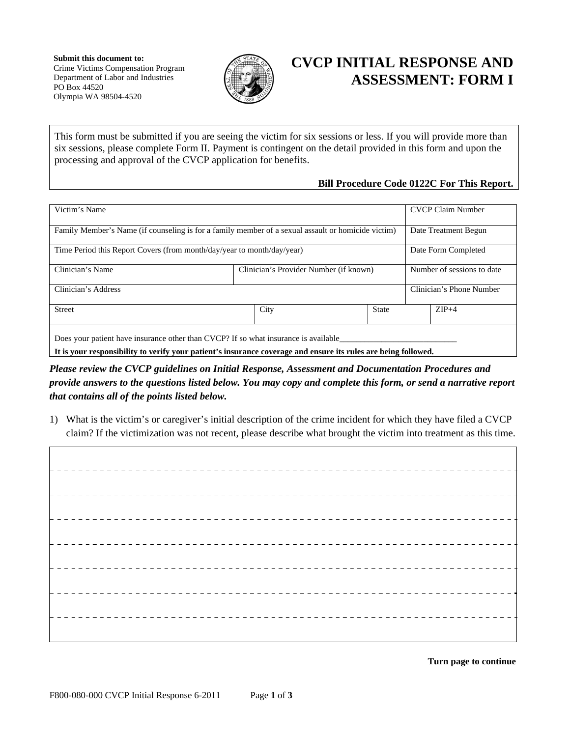

## **CVCP INITIAL RESPONSE AND ASSESSMENT: FORM I**

This form must be submitted if you are seeing the victim for six sessions or less. If you will provide more than six sessions, please complete Form II. Payment is contingent on the detail provided in this form and upon the processing and approval of the CVCP application for benefits.

## **Bill Procedure Code 0122C For This Report.**

| Victim's Name                                                                                                  |                                        |                          | <b>CVCP Claim Number</b>   |  |
|----------------------------------------------------------------------------------------------------------------|----------------------------------------|--------------------------|----------------------------|--|
| Family Member's Name (if counseling is for a family member of a sexual assault or homicide victim)             |                                        |                          | Date Treatment Begun       |  |
| Time Period this Report Covers (from month/day/year to month/day/year)                                         |                                        |                          | Date Form Completed        |  |
| Clinician's Name                                                                                               | Clinician's Provider Number (if known) |                          | Number of sessions to date |  |
| Clinician's Address                                                                                            |                                        | Clinician's Phone Number |                            |  |
| <b>Street</b>                                                                                                  | City                                   | <b>State</b>             | $ZIP+4$                    |  |
| Does your patient have insurance other than CVCP? If so what insurance is available                            |                                        |                          |                            |  |
| It is your responsibility to verify your patient's insurance coverage and ensure its rules are being followed. |                                        |                          |                            |  |

*Please review the CVCP guidelines on Initial Response, Assessment and Documentation Procedures and provide answers to the questions listed below. You may copy and complete this form, or send a narrative report that contains all of the points listed below.* 

1) What is the victim's or caregiver's initial description of the crime incident for which they have filed a CVCP claim? If the victimization was not recent, please describe what brought the victim into treatment as this time.

---------- $\frac{1}{2}$  and  $\frac{1}{2}$  and  $\frac{1}{2}$  and  $\frac{1}{2}$  and  $\frac{1}{2}$  $- - - - - - - -$ 

**Turn page to continue**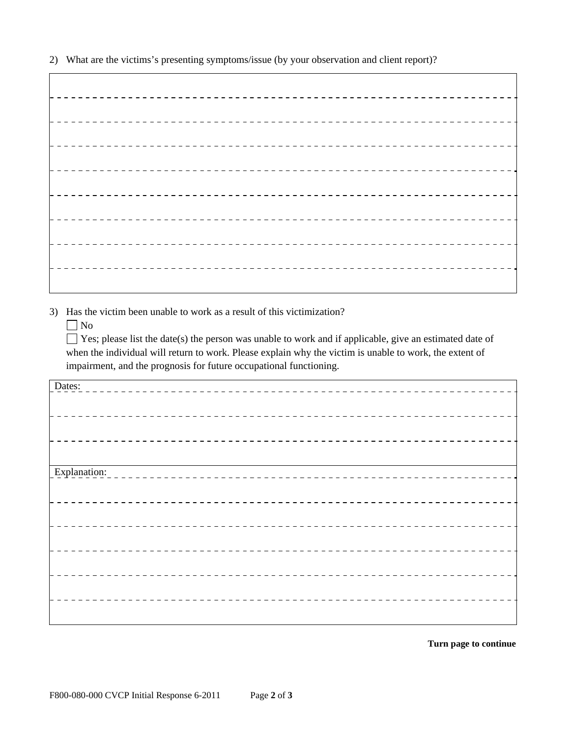2) What are the victims's presenting symptoms/issue (by your observation and client report)?

 $\frac{1}{2}$ \_\_\_\_\_\_\_\_\_\_\_\_\_\_\_\_\_\_\_\_\_\_\_\_\_\_\_\_\_  $- - -$ -----------\_\_\_\_\_\_\_\_\_\_\_\_\_\_\_\_\_\_\_\_\_\_\_\_\_\_\_\_\_\_\_\_\_\_\_\_ <u> - - - - - - - - - - - - - - - - -</u>

3) Has the victim been unable to work as a result of this victimization?

 $\Box$  No

 $\Box$  Yes; please list the date(s) the person was unable to work and if applicable, give an estimated date of when the individual will return to work. Please explain why the victim is unable to work, the extent of impairment, and the prognosis for future occupational functioning.

| Dates:       |  |
|--------------|--|
|              |  |
|              |  |
|              |  |
|              |  |
|              |  |
|              |  |
| Explanation: |  |
|              |  |
|              |  |
|              |  |
|              |  |
|              |  |
|              |  |
|              |  |
|              |  |
|              |  |
|              |  |
|              |  |
|              |  |

**Turn page to continue**